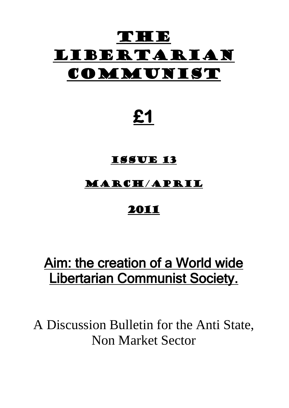# **NHOP** Libertarian COMMUNIST

# **£1**

### Issue 13

### March/April

## 2011

# Aim: the creation of a World wide Libertarian Communist Society.

A Discussion Bulletin for the Anti State, Non Market Sector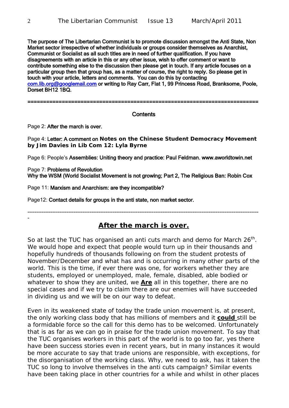The purpose of The Libertarian Communist is to promote discussion amongst the Anti State, Non Market sector irrespective of whether individuals or groups consider themselves as Anarchist, Communist or Socialist as all such titles are in need of further qualification. If you have disagreements with an article in this or any other issue, wish to offer comment or want to contribute something else to the discussion then please get in touch. If any article focuses on a particular group then that group has, as a matter of course, the right to reply. So please get in touch with your article, letters and comments. You can do this by contacting [com.lib.org@googlemail.com](mailto:com.lib.org@googlemail.com) or writing to Ray Carr, Flat 1, 99 Princess Road, Branksome, Poole, Dorset BH12 1BQ.

==========================================================================

#### **Contents**

Page 2: After the march is over.

Page 4: Letter: A comment on **Notes on the Chinese Student Democracy Movement by Jim Davies in Lib Com 12: Lyla Byrne**

Page 6: People's Assemblies: Uniting theory and practice: Paul Feldman. www.aworldtowin.net

Page 7: Problems of Revolution Why the WSM (World Socialist Movement is not growing; Part 2, The Religious Ban: Robin Cox

Page 11: Marxism and Anarchism: are they incompatible?

Page12: Contact details for groups in the anti state, non market sector.

----------------------------------------------------------------------------------------------------------------------------------

#### **After the march is over.**

So at last the TUC has organised an anti cuts march and demo for March  $26<sup>th</sup>$ . We would hope and expect that people would turn up in their thousands and hopefully hundreds of thousands following on from the student protests of November/December and what has and is occurring in many other parts of the world. This is the time, if ever there was one, for workers whether they are students, employed or unemployed, male, female, disabled, able bodied or whatever to show they are united, we **Are** all in this together, there are no special cases and if we try to claim there are our enemies will have succeeded in dividing us and we will be on our way to defeat.

Even in its weakened state of today the trade union movement is, at present, the only working class body that has millions of members and it **could** still be a formidable force so the call for this demo has to be welcomed. Unfortunately that is as far as we can go in praise for the trade union movement. To say that the TUC organises workers in this part of the world is to go too far, yes there have been success stories even in recent years, but in many instances it would be more accurate to say that trade unions are responsible, with exceptions, for the disorganisation of the working class. Why, we need to ask, has it taken the TUC so long to involve themselves in the anti cuts campaign? Similar events have been taking place in other countries for a while and whilst in other places

-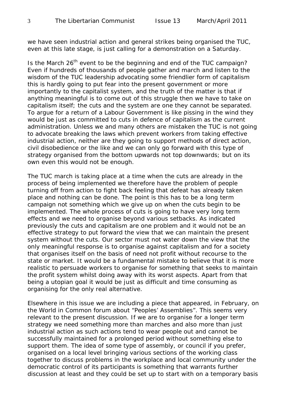we have seen industrial action and general strikes being organised the TUC, even at this late stage, is just calling for a demonstration on a Saturday.

Is the March  $26<sup>th</sup>$  event to be the beginning and end of the TUC campaign? Even if hundreds of thousands of people gather and march and listen to the wisdom of the TUC leadership advocating some friendlier form of capitalism this is hardly going to put fear into the present government or more importantly to the capitalist system, and the truth of the matter is that if anything meaningful is to come out of this struggle then we have to take on capitalism itself; the cuts and the system are one they cannot be separated. To argue for a return of a Labour Government is like pissing in the wind they would be just as committed to cuts in defence of capitalism as the current administration. Unless we and many others are mistaken the TUC is not going to advocate breaking the laws which prevent workers from taking effective industrial action, neither are they going to support methods of direct action, civil disobedience or the like and we can only go forward with this type of strategy organised from the bottom upwards not top downwards; but on its own even this would not be enough.

The TUC march is taking place at a time when the cuts are already in the process of being implemented we therefore have the problem of people turning off from action to fight back feeling that defeat has already taken place and nothing can be done. The point is this has to be a long term campaign not something which we give up on when the cuts begin to be implemented. The whole process of cuts is going to have very long term effects and we need to organise beyond various setbacks. As indicated previously the cuts and capitalism are one problem and it would not be an effective strategy to put forward the view that we can maintain the present system without the cuts. Our sector must not water down the view that the only meaningful response is to organise against capitalism and for a society that organises itself on the basis of need not profit without recourse to the state or market. It would be a fundamental mistake to believe that it is more realistic to persuade workers to organise for something that seeks to maintain the profit system whilst doing away with its worst aspects. Apart from that being a utopian goal it would be just as difficult and time consuming as organising for the only real alternative.

Elsewhere in this issue we are including a piece that appeared, in February, on the World in Common forum about "Peoples' Assemblies". This seems very relevant to the present discussion. If we are to organise for a longer term strategy we need something more than marches and also more than just industrial action as such actions tend to wear people out and cannot be successfully maintained for a prolonged period without something else to support them. The idea of some type of assembly, or council if you prefer, organised on a local level bringing various sections of the working class together to discuss problems in the workplace and local community under the democratic control of its participants is something that warrants further discussion at least and they could be set up to start with on a temporary basis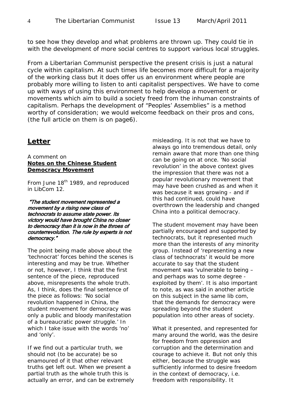to see how they develop and what problems are thrown up. They could tie in with the development of more social centres to support various local struggles.

From a Libertarian Communist perspective the present crisis is just a natural cycle within capitalism. At such times life becomes more difficult for a majority of the working class but it does offer us an environment where people are probably more willing to listen to anti capitalist perspectives. We have to come up with ways of using this environment to help develop a movement or movements which aim to build a society freed from the inhuman constraints of capitalism. Perhaps the development of "Peoples' Assemblies" is a method worthy of consideration; we would welcome feedback on their pros and cons, (the full article on them is on page6).

### **Letter**

A comment on **Notes on the Chinese Student Democracy Movement**

From June 18<sup>th</sup> 1989, and reproduced in LibCom 12.

 "The student movement represented a movement by a rising new class of technocrats to assume state power. Its victory would have brought China no closer to democracy than it is now in the throes of counterrevolution. The rule by experts is not democracy."

The point being made above about the 'technocrat' forces behind the scenes is interesting and may be true. Whether or not, however, I think that the first sentence of the piece, reproduced above, misrepresents the whole truth. As, I think, does the final sentence of the piece as follows*: 'No social revolution happened in China, the student movement for democracy was only a public and bloody manifestation of a bureaucratic power struggle.'* In which I take issue with the words 'no' and 'only'.

If we find out a particular truth, we should not (to be accurate) be so enamoured of it that other relevant truths get left out. When we present a partial truth as the whole truth this is actually an error, and can be extremely misleading. It is not that we have to always go into tremendous detail, only remain aware that more than one thing can be going on at once. 'No social revolution' in the above context gives the impression that there was not a popular revolutionary movement that may have been crushed as and when it was *because* it was growing - and if this had continued, could have overthrown the leadership and changed China into a political democracy.

The student movement may have been partially encouraged and supported by technocrats, but it represented much more than the interests of any minority group. Instead of 'representing a new class of technocrats' it would be more accurate to say that the student movement was 'vulnerable to being – and perhaps was to some degree exploited by them'. It is also important to note, as was said in another article on this subject in the same lib com, that the demands for democracy were spreading beyond the student population into other areas of society.

What it *presented*, and *represented* for many around the world, was the desire for freedom from oppression and corruption and the determination and courage to achieve it. But not only this either, because the struggle was sufficiently informed to desire freedom in the context of democracy, i.e. freedom with responsibility. It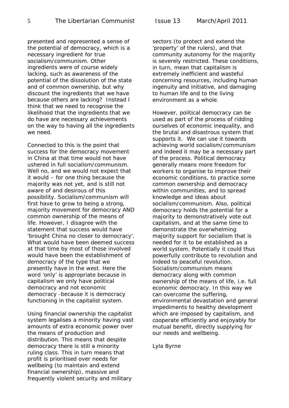presented and represented a sense of the potential of democracy, which is a necessary ingredient for true socialism/communism. Other ingredients were of course widely lacking, such as awareness of the potential of the dissolution of the state and of common ownership, but why discount the ingredients that we have because others are lacking? Instead I think that we need to recognise the likelihood that the ingredients that we do have are necessary achievements on the way to having all the ingredients we need.

Connected to this is the point that success for the democracy movement in China at that time would not have ushered in full socialism/communism. Well no, and we would not expect that it would – for one thing because the majority was not yet, and is still not aware of and desirous of this possibility. Socialism/communism will first have to grow to being a strong, majority movement for democracy AND common ownership of the means of life. However, I disagree with the statement that success would have 'brought China no closer to democracy'. What would have been deemed success at that time by most of those involved would have been the establishment of democracy of the type that we presently have in the west. Here the word 'only' is appropriate because in capitalism we only have political democracy and not economic democracy -because it is democracy functioning in the capitalist system.

Using financial ownership the capitalist system legalises a minority having vast amounts of extra economic power over the means of production and distribution. This means that despite democracy there is still a minority ruling class. This in turn means that profit is prioritised over needs for wellbeing (to maintain and extend financial ownership), massive and frequently violent security and military

sectors (to protect and extend the 'property' of the rulers), and that community autonomy for the majority is severely restricted. These conditions, in turn, mean that capitalism is extremely inefficient and wasteful concerning resources, including human ingenuity and initiative, and damaging to human life and to the living environment as a whole.

However, political democracy can be used as part of the process of ridding ourselves of economic inequality, and the brutal and disastrous system that supports it. We can use it towards achieving world socialism/communism and indeed it may be a necessary part of the process. Political democracy generally means more freedom for workers to organise to improve their economic conditions, to practice some common ownership and democracy within communities, and to spread knowledge and ideas about socialism/communism. Also, political democracy holds the potential for a majority to *demonstratively* vote out capitalism, and at the same time to demonstrate the overwhelming majority support for socialism that is needed for it to be established as a world system. Potentially it could thus powerfully contribute to revolution and indeed to peaceful revolution. Socialism/communism means democracy along with common ownership of the means of life, i.e. full economic democracy. In this way we can overcome the suffering, environmental devastation and general impediments to healthy development which are imposed by capitalism, and cooperate efficiently and enjoyably for mutual benefit, directly supplying for our needs and wellbeing.

Lyla Byrne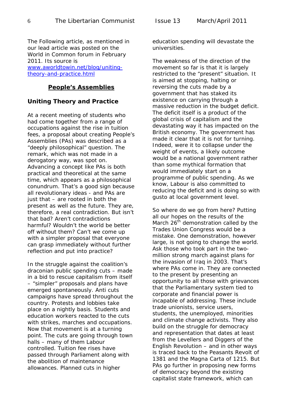The Following article, as mentioned in our lead article was posted on the World in Common forum in February 2011. Its source is [www.aworldtowin.net/blog/uniting](http://www.aworldtowin.net/blog/uniting-theory-and-practice.html)[theory-and-practice.html](http://www.aworldtowin.net/blog/uniting-theory-and-practice.html)

#### **People's Assemblies**

#### **Uniting Theory and Practice**

At a recent meeting of students who had come together from a range of occupations against the rise in tuition fees, a proposal about creating People's Assemblies (PAs) was described as a "deeply philosophical" question. The remark, which was not made in a derogatory way, was spot on. Advancing a concept like PAs is both practical and theoretical at the same time, which appears as a philosophical conundrum. That's a good sign because all revolutionary ideas - and PAs are just that – are rooted in both the present as well as the future. They are, therefore, a real contradiction. But isn't that bad? Aren't contradictions harmful? Wouldn't the world be better off without them? Can't we come up with a simpler proposal that everyone can grasp immediately without further reflection and put into practice?

In the struggle against the coalition's draconian public spending cuts – made in a bid to rescue capitalism from itself – "simpler" proposals and plans have emerged spontaneously. Anti cuts campaigns have spread throughout the country. Protests and lobbies take place on a nightly basis. Students and education workers reacted to the cuts with strikes, marches and occupations. Now that movement is at a turning point. The cuts are going through town halls – many of them Labour controlled. Tuition fee rises have passed through Parliament along with the abolition of maintenance allowances. Planned cuts in higher

education spending will devastate the universities.

The weakness of the direction of the movement so far is that it is largely restricted to the "present" situation. It is aimed at stopping, halting or reversing the cuts made by a government that has staked its existence on carrying through a massive reduction in the budget deficit. The deficit itself is a product of the global crisis of capitalism and the devastating way it has impacted on the British economy. The government has made it clear that it is not for turning. Indeed, were it to collapse under the weight of events, a likely outcome would be a national government rather than some mythical formation that would immediately start on a programme of public spending. As we know, Labour is also committed to reducing the deficit and is doing so with gusto at local government level.

So where do we go from here? Putting all our hopes on the results of the March  $26<sup>th</sup>$  demonstration called by the Trades Union Congress would be a mistake. One demonstration, however large, is not going to change the world. Ask those who took part in the twomillion strong march against plans for the invasion of Iraq in 2003. That's where PAs come in. They are connected to the present by presenting an opportunity to all those with grievances that the Parliamentary system tied to corporate and financial power is incapable of addressing. These include trade unionists, service users, students, the unemployed, minorities and climate change activists. They also build on the struggle for democracy and representation that dates at least from the Levellers and Diggers of the English Revolution – and in other ways is traced back to the Peasants Revolt of 1381 and the Magna Carta of 1215. But PAs go further in proposing new forms of democracy beyond the existing capitalist state framework, which can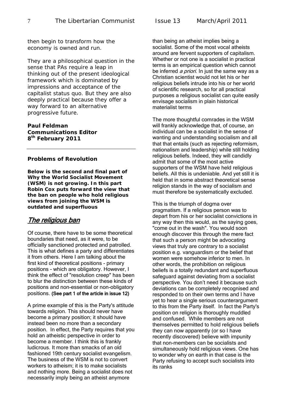then begin to transform how the economy is owned and run.

They are a philosophical question in the sense that PAs require a leap in thinking out of the present ideological framework which is dominated by impressions and acceptance of the capitalist status quo. But they are also deeply practical because they offer a way forward to an alternative progressive future.

**Paul Feldman Communications Editor 8th February 2011** 

#### **Problems of Revolution**

**Below is the second and final part of Why the World Socialist Movement (WSM) is not growing. In this part Robin Cox puts forward the view that the ban on people who hold religious views from joining the WSM is outdated and superfluous** 

#### The religious ban

Of course, there have to be some theoretical boundaries that need, as it were, to be officially sanctioned protected and patrolled. This is what defines a party and differentiates it from others. Here I am talking about the first kind of theoretical positions - primary positions - which are obligatory. However, I think the effect of "resolution creep" has been to blur the distinction between these kinds of positions and non-essential or non-obligatory positions. (See part 1 of the article in issue 12)

A prime example of this is the Party's attitude towards religion. This should never have become a primary position; it should have instead been no more than a secondary position. In effect, the Party requires that you hold an atheistic perspective in order to become a member. I think this is frankly ludicrous. It more than smacks of an old fashioned 19th century socialist evangelism. The business of the WSM is not to convert workers to atheism; it is to make socialists and nothing more. Being a socialist does not necessarily imply being an atheist anymore

than being an atheist implies being a socialist. Some of the most vocal atheists around are fervent supporters of capitalism. Whether or not one is a socialist in practical terms is an empirical question which cannot be inferred *a priori*. In just the same way as a Christian scientist would not let his or her religious beliefs intrude into his or her world of scientific research, so for all practical purposes a religious socialist can quite easily envisage socialism in plain historical materialist terms

The more thoughtful comrades in the WSM will frankly acknowledge that, of course, an individual can be a socialist in the sense of wanting and understanding socialism and all that that entails (such as rejecting reformism, nationalism and leadership) while still holding religious beliefs. Indeed, they will candidly admit that some of the most active supporters of the WSM have held religious beliefs. All this is undeniable. And yet still it is held that in some abstract theoretical sense religion stands in the way of socialism and must therefore be systematically excluded.

This is the triumph of dogma over pragmatism. If a religious person was to depart from his or her socialist convictions in any way then this would, as the saying goes, "come out in the wash". You would soon enough discover this through the mere fact that such a person might be advocating views that truly are contrary to a socialist position e.g. vanguardism or the belief that women were somehow inferior to men. In other words, the prohibition on religious beliefs is a totally redundant and superfluous safeguard against deviating from a socialist perspective. You don't need it because such deviations can be completely recognised and responded to on their own terms and I have yet to hear a single serious counterargument to this from the Party itself. In fact the Party's position on religion is thoroughly muddled and confused. While members are not themselves permitted to hold religious beliefs they can now apparently (or so I have recently discovered) believe with impunity that non-members can be socialists and simultaneously hold religious views. One has to wonder why on earth in that case is the Party refusing to accept such socialists into its ranks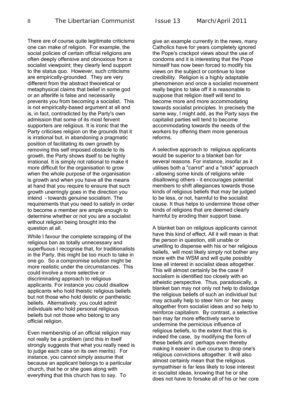8 The Libertarian Communist Issue 13 March/April 2011

There are of course quite legitimate criticisms one can make of religion. For example, the social policies of certain official religions are often deeply offensive and obnoxious from a socialist viewpoint; they clearly lend support to the status quo. However, such criticisms are empirically-grounded. They are very different from the abstract theoretical or metaphysical claims that belief in some god or an afterlife is false and necessarily prevents you from becoming a socialist. This is not empirically-based argument at all and is, in fact, contradicted by the Party's own admission that some of its most fervent supporters are religious. It is ironic that the Party criticises religion on the grounds that it is irrational but, in abandoning a pragmatic position of facilitating its own growth by removing this self imposed obstacle to its growth, the Party shows itself to be highly irrational. It is simply not rational to make it more difficult for the organisation to grow when the whole purpose of the organisation is growth and when you have all the means at hand that you require to ensure that such growth unerringly goes in the direction you intend - towards genuine socialism. The requirements that you need to satisfy in order to become a member are ample enough to determine whether or not you are a socialist without religion being brought into the question at all.

While I favour the complete scrapping of the religious ban as totally unnecessary and superfluous I recognise that, for traditionalists in the Party, this might be too much to take in one go. So a compromise solution might be more realistic under the circumstances. This could involve a more selective or discriminating approach to religious applicants. For instance you could disallow applicants who hold theistic religious beliefs but not those who hold deistic or pantheistic beliefs. Alternatively, you could admit individuals who hold personal religious beliefs but not those who belong to any official religion.

Even membership of an official religion may not really be a problem (and this in itself strongly suggests that what you really need is to judge each case on its own merits). For instance, you cannot simply assume that because an applicant belongs to a particular church, that he or she goes along with everything that this church has to say. To

give an example currently in the news, many Catholics have for years completely ignored the Pope's crackpot views about the use of condoms and it is interesting that the Pope himself has now been forced to modify his views on the subject or continue to lose credibility. Religion is a highly adaptable phenomenon and once a socialist movement really begins to take off it is reasonable to suppose that religion itself will tend to become more and more accommodating towards socialist principles. In precisely the same way, I might add, as the Party says the capitalist parties will tend to become accommodating towards the needs of the workers by offering them more generous reforms.

A selective approach to religious applicants would be superior to a blanket ban for several reasons. For instance, insofar as it utilises both a "carrot" and a "stick" approach - allowing some kinds of religions while disallowing others - it encourages potential members to shift allegiances towards those kinds of religious beliefs that may be judged to be less, or not, harmful to the socialist cause. It thus helps to undermine those other kinds of religions that are deemed clearly harmful by eroding their support base.

A blanket ban on religious applicants cannot have this kind of effect. All it will mean is that the person in question, still unable or unwilling to dispense with his or her religious beliefs, will most likely simply not bother any more with the WSM and will quite possibly lose all interest in socialist ideas altogether. This will almost certainly be the case if socialism is identified too closely with an atheistic perspective. Thus, paradoxically, a blanket ban may not only not help to dislodge the religious beliefs of such an individual but may actually help to steer him or her away altogether from socialist ideas and so help to reinforce capitalism. By contrast, a selective ban may far more effectively serve to undermine the pernicious influence of religious beliefs, to the extent that this is indeed the case, by modifying the form of these beliefs and perhaps even thereby making it easier in due course to drop one's religious convictions altogether. It will also almost certainly mean that the religious sympathiser is far less likely to lose interest in socialist ideas, knowing that he or she does not have to forsake all of his or her core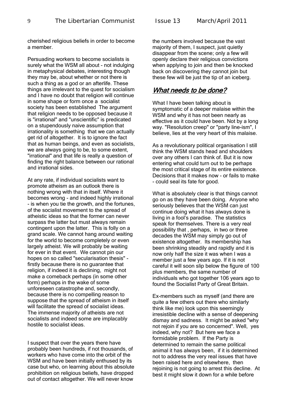cherished religious beliefs in order to become a member.

Persuading workers to become socialists is surely what the WSM all about - not indulging in metaphysical debates, interesting though they may be, about whether or not there is such a thing as a god or an afterlife. These things are irrelevant to the quest for socialism and I have no doubt that religion will continue in some shape or form once a socialist society has been established The argument that religion needs to be opposed because it is "irrational" and "unscientific" is predicated on a stupendously naive assumption that irrationality is something that we can actually get rid of altogether. It is to ignore the fact that as human beings, and even as socialists, we are always going to be, to some extent, "irrational" and that life is really a question of finding the right balance between our rational and irrational sides.

At any rate, if individual socialists want to promote atheism as an outlook there is nothing wrong with that in itself. Where it becomes wrong - and indeed highly irrational - is when you tie the growth, and the fortunes, of the socialist movement to the spread of atheistic ideas so that the former can never surpass the latter but must always remain contingent upon the latter. This is folly on a grand scale. We cannot hang around waiting for the world to become completely or even largely atheist. We will probably be waiting for ever in that event. We cannot pin our hopes on so called "secularisation thesis" firstly because there is no guarantee that religion, if indeed it is declining, might not make a comeback perhaps (in some other form) perhaps in the wake of some unforeseen catastrophe and, secondly, because there is no compelling reason to suppose that the spread of atheism in itself will facilitate the spread of socialist ideas. The immense majority of atheists are not socialists and indeed some are implacably hostile to socialist ideas.

I suspect that over the years there have probably been hundreds, if not thousands, of workers who have come into the orbit of the WSM and have been initially enthused by its case but who, on learning about this absolute prohibition on religious beliefs, have dropped out of contact altogether. We will never know

the numbers involved because the vast majority of them, I suspect, just quietly disappear from the scene; only a few will openly declare their religious convictions when applying to join and then be knocked back on discovering they cannot join but these few will be just the tip of an iceberg.

### What needs to be done?

What I have been talking about is symptomatic of a deeper malaise within the WSM and why it has not been nearly as effective as it could have been. Not by a long way. "Resolution creep" or "party line-ism", I believe, lies at the very heart of this malaise.

As a revolutionary political organisation I still think the WSM stands head and shoulders over any others I can think of. But it is now entering what could turn out to be perhaps the most critical stage of its entire existence. Decisions that it makes now - or fails to make - could seal its fate for good.

What is absolutely clear is that things cannot go on as they have been doing. Anyone who seriously believes that the WSM can just continue doing what it has always done is living in a fool's paradise. The statistics speak for themselves. There is a very real possibility that , perhaps, in two or three decades the WSM may simply go out of existence altogether. Its membership has been shrinking steadily and rapidly and it is now only half the size it was when I was a member just a few years ago. If it is not careful it will soon slip below the figure of 100 plus members, the same number of individuals who got together 106 years ago to found the Socialist Party of Great Britain.

Ex-members such as myself (and there are quite a few others out there who similarly think like me) look upon this seemingly irresistible decline with a sense of deepening dismay and sadness. It might be asked "why not rejoin if you are so concerned". Well, yes indeed, why not? But here we face a formidable problem. If the Party is determined to remain the same political animal it has always been, if it is determined not to address the very real issues that have been raised here and elsewhere, then rejoining is not going to arrest this decline. At best it might slow it down for a while before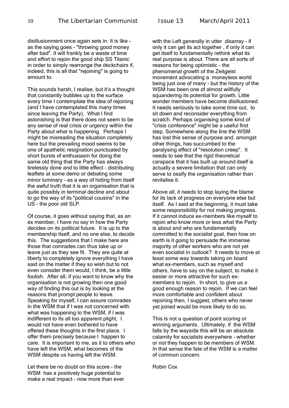disillusionment once again sets in. It is like as the saying goes - "throwing good money after bad". It will frankly be a waste of time and effort to rejoin the good ship SS Titanic in order to simply rearrange the deckchairs if, indeed, this is all that "rejoining" is going to amount to.

This sounds harsh, I realise, but it's a thought that constantly bubbles up to the surface every time I contemplate the idea of rejoining (and I have contemplated this many times since leaving the Party). What I find astonishing is that there does not seem to be any sense of real crisis or urgency within the Party about what is happening. Perhaps I might be misreading the situation completely here but the prevailing mood seems to be one of apathetic resignation punctuated by short bursts of enthusiasm for doing the same old thing that the Party has always tirelessly done and to little effect - distributing leaflets at some demo or debating some minor luminary - as a way of hiding from itself the awful truth that it is an organisation that is quite possibly in terminal decline and about to go the way of its "political cousins" in the US - the poor old SLP.

Of course, it goes without saying that, as an ex member, I have no say in how the Party decides on its political future. It is up to the membership itself, and no one else, to decide this. The suggestions that I make here are those that comrades can thus take up or leave just as they see fit. They are quite at liberty to completely ignore everything I have said on the matter if they so wish but to not even consider them would, I think, be a little foolish. After all, if you want to know why the organisation is not growing then one good way of finding this out is by looking at the reasons that prompt people to leave. Speaking for myself, I can assure comrades in the WSM that if I was not concerned with what was happening to the WSM, if I was indifferent to its all too apparent plight, I would not have even bothered to have offered these thoughts in the first place. I offer them precisely because I happen to care. It is important to me, as it to others who have left the WSM, what becomes of the WSM despite us having left the WSM.

Let there be no doubt on this score - the WSM has a positively huge potential to make a real impact - now more than ever with the Left generally in utter disarray - if only it can get its act together , if only it can get itself to fundamentally rethink what its real purpose is about. There are all sorts of reasons for being optimistic - the phenomenal growth of the Zeitgeist movement advocating a moneyless world being just one of many - but the history of the WSM has been one of almost willfully squandering its potential for growth. Little wonder members have become disillusioned. It needs seriously to take some time out, to sit down and reconsider everything from scratch. Perhaps organising some kind of "crisis conference" might be a useful first step. Somewhere along the line the WSM has lost this sense of purpose and, amongst other things, has succumbed to the paralysing effect of "resolution creep". It needs to see that the rigid theoretical carapace that it has built up around itself is actually a severe limitation that can only serve to ossify the organisation rather than revitalise it.

Above all, it needs to stop laying the blame for its lack of progress on everyone else but itself. As I said at the beginning, it must take some responsibility for not making progress. If it cannot induce ex-members like myself to rejoin who know more or less what the Party is about and who are fundamentally committed to the socialist goal, then how on earth is it going to persuade the immense majority of other workers who are not yet even socialist in outlook? It needs to move at least some way towards taking on board what ex-members, such as myself and others, have to say on the subject, to make it easier or more attractive for such exmembers to rejoin. In short, to give us a good enough reason to rejoin. If we can feel more comfortable and confident about rejoining then, I suggest, others who never yet joined would be more likely to do so.

This is not a question of point scoring or winning arguments. Ultimately, if the WSM falls by the wayside this will be an absolute calamity for socialists everywhere - whether or not they happen to be members of WSM. In that sense the fate of the WSM is a matter of common concern.

Robin Cox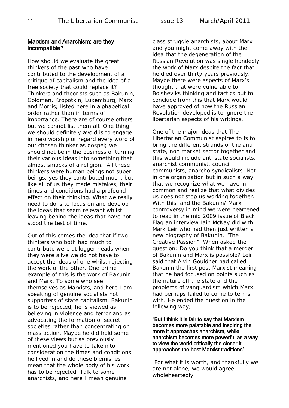#### Marxism and Anarchism: are they incompatible?

How should we evaluate the great thinkers of the past who have contributed to the development of a critique of capitalism and the idea of a free society that could replace it? Thinkers and theorists such as Bakunin, Goldman, Kropotkin, Luxemburg, Marx and Morris; listed here in alphabetical order rather than in terms of importance. There are of course others but we cannot list them all. One thing we should definitely avoid is to engage in hero worship or regard every word of our chosen thinker as gospel; we should not be in the business of turning their various ideas into something that almost smacks of a religion. All these thinkers were human beings not super beings, yes they contributed much, but like all of us they made mistakes, their times and conditions had a profound effect on their thinking. What we really need to do is to focus on and develop the ideas that seem relevant whilst leaving behind the ideas that have not stood the test of time.

Out of this comes the idea that if two thinkers who both had much to contribute were at logger heads when they were alive we do not have to accept the ideas of one whilst rejecting the work of the other. One prime example of this is the work of Bakunin and Marx. To some who see themselves as Marxists, and here I am speaking of genuine socialists not supporters of state capitalism, Bakunin is to be rejected, he is viewed as believing in violence and terror and as advocating the formation of secret societies rather than concentrating on mass action. Maybe he did hold some of these views but as previously mentioned you have to take into consideration the times and conditions he lived in and do these blemishes mean that the whole body of his work has to be rejected. Talk to some anarchists, and here I mean genuine

class struggle anarchists, about Marx and you might come away with the idea that the degeneration of the Russian Revolution was single handedly the work of Marx despite the fact that he died over thirty years previously. Maybe there were aspects of Marx's thought that were vulnerable to Bolsheviks thinking and tactics but to conclude from this that Marx would have approved of how the Russian Revolution developed is to ignore the libertarian aspects of his writings.

One of the major ideas that The Libertarian Communist aspires to is to bring the different strands of the anti state, non market sector together and this would include anti state socialists, anarchist communist, council communists, anarcho syndicalists. Not in one organization but in such a way that we recognize what we have in common and realize that what divides us does not stop us working together. With this and the Bakunin/ Marx controversy in mind we were heartened to read in the mid 2009 issue of Black Flag an interview Iain McKay did with Mark Leir who had then just written a new biography of Bakunin, "The Creative Passion". When asked the question: Do you think that a merger of Bakunin and Marx is possible? Leir said that Alvin Gouldner had called Bakunin the first post Marxist meaning that he had focused on points such as the nature off the state and the problems of vanguardism which Marx had perhaps failed to come to terms with. He ended the question in the following way;

#### "But I think it is fair to say that Marxism becomes more palatable and inspiring the more it approaches anarchism, while anarchism becomes more powerful as a way to view the world critically the closer it approaches the best Marxist traditions"

For what it is worth, and thankfully we are not alone, we would agree wholeheartedly.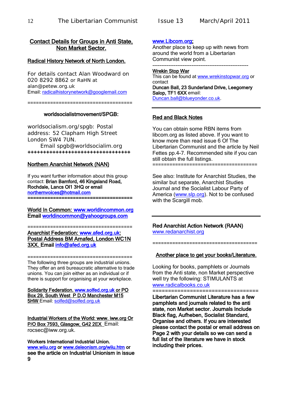#### Contact Details for Groups in Anti State, Non Market Sector.

#### Radical History Network of North London.

For details contact Alan Woodward on 020 8292 8862 or RaHN at alan@petew.org.uk Email: [radicalhistorynetwork@googlemail.com](mailto:radicalhistorynetwork@googlemail.com)

=====================================

#### worldsocialistmovement/SPGB:

worldsocialism.org/spgb: Postal address: 52 Clapham High Street London SW4 7UN.

Email spgb@worldsocialim.org +++++++++++++++++++++++++++++++++

#### Northern Anarchist Network (NAN)

If you want further information about this group contact: Brian Bamford, 46 Kingsland Road, Rochdale, Lancs Ol1 3HQ or email [northernvoices@hotmail.com](mailto:northernvoices@hotmail.com)  =====================================

World In Common: [www.worldincommon.org](http://www.worldincommon.org/)  Email [worldincommon@yahoogroups.com](mailto:worldincommon@yahoogroups.com) 

===================================== Anarchist Federation: [www.afed.org.uk:](http://www.afed.org.uk/) Postal Address BM Arnafed, London WC1N 3XX. Email [info@afed.org.uk](mailto:info@afed.org.uk) 

===================================== The following three groups are industrial unions. They offer an anti bureaucratic alternative to trade unions. You can join either as an individual or if there is support for organising at your workplace.

Solidarity Federation. [www.solfed.org.uk](http://www.solfed.org.uk/) or PO Box 29, South West P D.O Manchester M15 5HW Email: [solfed@solfed.org.uk](mailto:solfed@solfed.org.uk)

Industrial Workers of the World: www. iww.org Or P/O Box 7593, Glasgow, G42 2EX Email: rocsec@iww.org.uk.

Workers International Industrial Union. [www.wiiu.org](http://www.wiiu.org/) or [www.deleonism.org/wiiu.htm](http://www.deleonism.org/wiiu.htm) or see the article on Industrial Unionism in issue 9

#### [www.Libcom.org;](http://www.libcom.org/)

Another place to keep up with news from around the world from a Libertarian Communist view point.

------------------------------------------------------

Wrekin Stop War This can be found at [www.wrekinstopwar.org](http://www.wrekinstopwar.org/) or contact Duncan Ball, 23 Sunderland Drive, Leegomery Salop, TF1 6XX email: [Duncan.ball@blueyonder.co.uk.](mailto:Duncan.ball@blueyonder.co.uk)

#### Red and Black Notes

You can obtain some RBN items from libcom.org as listed above. If you want to know more than read issue 6 Of The Libertarian Communist and the article by Neil Fettes pp.4-7. Recommended site if you can still obtain the full listings. =====================================

See also: Institute for Anarchist Studies, the similar but separate, Anarchist Studies Journal and the Socialist Labour Party of America [\(www.slp.org\)](http://www.slp.org/). Not to be confused with the Scargill mob.

Red Anarchist Action Network (RAAN) [www.redanarchist.org](http://www.redanarchist.org/)

=====================================

#### Another place to get your books/Literature.

Looking for books, pamphlets or Journals from the Anti state, non Market perspective well try the following: STIMULANTS at [www.radicalbooks.co.uk](http://www.radicalbooks.co.uk/)

=====================================

Libertarian Communist Literature has a few pamphlets and journals related to the anti state, non Market sector. Journals Include Black flag, Aufheben, Socialist Standard, Organise and others. If you are interested please contact the postal or email address on Page 2 with your details so we can send a full list of the literature we have in stock including their prices.